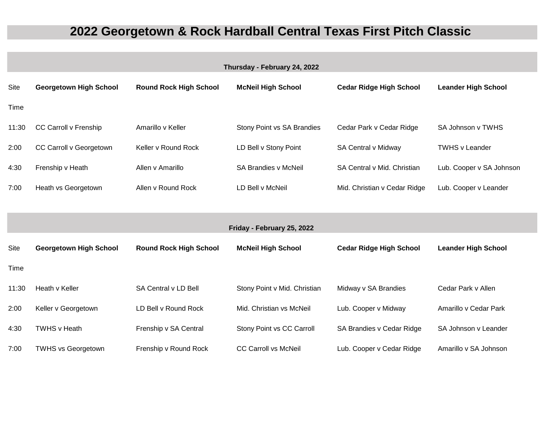## **2022 Georgetown & Rock Hardball Central Texas First Pitch Classic**

| Thursday - February 24, 2022 |                               |                               |                              |                                |                            |  |  |  |  |
|------------------------------|-------------------------------|-------------------------------|------------------------------|--------------------------------|----------------------------|--|--|--|--|
| Site                         | <b>Georgetown High School</b> | <b>Round Rock High School</b> | <b>McNeil High School</b>    | <b>Cedar Ridge High School</b> | <b>Leander High School</b> |  |  |  |  |
| Time                         |                               |                               |                              |                                |                            |  |  |  |  |
| 11:30                        | CC Carroll v Frenship         | Amarillo v Keller             | Stony Point vs SA Brandies   | Cedar Park v Cedar Ridge       | SA Johnson v TWHS          |  |  |  |  |
| 2:00                         | CC Carroll v Georgetown       | Keller v Round Rock           | LD Bell v Stony Point        | SA Central v Midway            | <b>TWHS v Leander</b>      |  |  |  |  |
| 4:30                         | Frenship v Heath              | Allen v Amarillo              | <b>SA Brandies v McNeil</b>  | SA Central v Mid. Christian    | Lub. Cooper v SA Johnson   |  |  |  |  |
| 7:00                         | Heath vs Georgetown           | Allen v Round Rock            | LD Bell v McNeil             | Mid. Christian v Cedar Ridge   | Lub. Cooper v Leander      |  |  |  |  |
|                              |                               |                               |                              |                                |                            |  |  |  |  |
| Friday - February 25, 2022   |                               |                               |                              |                                |                            |  |  |  |  |
| Site                         | <b>Georgetown High School</b> | <b>Round Rock High School</b> | <b>McNeil High School</b>    | <b>Cedar Ridge High School</b> | <b>Leander High School</b> |  |  |  |  |
| Time                         |                               |                               |                              |                                |                            |  |  |  |  |
| 11:30                        | Heath v Keller                | SA Central v LD Bell          | Stony Point v Mid. Christian | Midway v SA Brandies           | Cedar Park v Allen         |  |  |  |  |
| 2:00                         | Keller v Georgetown           | LD Bell v Round Rock          | Mid. Christian vs McNeil     | Lub. Cooper v Midway           | Amarillo v Cedar Park      |  |  |  |  |
| 4:30                         | TWHS v Heath                  | Frenship v SA Central         | Stony Point vs CC Carroll    | SA Brandies v Cedar Ridge      | SA Johnson v Leander       |  |  |  |  |
| 7:00                         | <b>TWHS vs Georgetown</b>     | Frenship v Round Rock         | <b>CC Carroll vs McNeil</b>  | Lub. Cooper v Cedar Ridge      | Amarillo v SA Johnson      |  |  |  |  |